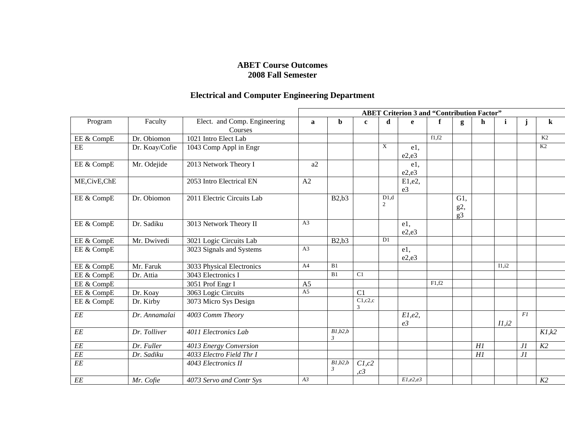## **ABET Course Outcomes 2008 Fall Semester**

## **Electrical and Computer Engineering Department**

| Program         | Faculty        | Elect. and Comp. Engineering<br>Courses | <b>ABET Criterion 3 and "Contribution Factor"</b> |                                        |               |           |                             |       |                                 |    |              |            |         |
|-----------------|----------------|-----------------------------------------|---------------------------------------------------|----------------------------------------|---------------|-----------|-----------------------------|-------|---------------------------------|----|--------------|------------|---------|
|                 |                |                                         | a                                                 | b                                      | $\mathbf{c}$  | d         | $\mathbf{e}$                | f     | g                               | h  | $\mathbf{i}$ |            | $\bf k$ |
| EE & CompE      | Dr. Obiomon    | 1021 Intro Elect Lab                    |                                                   |                                        |               |           |                             | f1,f2 |                                 |    |              |            | K2      |
| EE              | Dr. Koay/Cofie | 1043 Comp Appl in Engr                  |                                                   |                                        |               | X         | e1,<br>e2,e3                |       |                                 |    |              |            | K2      |
| EE & CompE      | Mr. Odejide    | 2013 Network Theory I                   | a2                                                |                                        |               |           | e1,<br>e2,e3                |       |                                 |    |              |            |         |
| ME, CivE, ChE   |                | 2053 Intro Electrical EN                | A2                                                |                                        |               |           | E1,e2,<br>e3                |       |                                 |    |              |            |         |
| EE & CompE      | Dr. Obiomon    | 2011 Electric Circuits Lab              |                                                   | B2,b3                                  |               | D1.d<br>2 |                             |       | $G1$ ,<br>g2,<br>g <sub>3</sub> |    |              |            |         |
| EE & CompE      | Dr. Sadiku     | 3013 Network Theory II                  | A <sub>3</sub>                                    |                                        |               |           | $e1$ ,<br>e2.e3             |       |                                 |    |              |            |         |
| EE & CompE      | Mr. Dwivedi    | 3021 Logic Circuits Lab                 |                                                   | B2,b3                                  |               | D1        |                             |       |                                 |    |              |            |         |
| EE & CompE      |                | 3023 Signals and Systems                | A <sub>3</sub>                                    |                                        |               |           | $e1$ ,<br>e2,e3             |       |                                 |    |              |            |         |
| EE & CompE      | Mr. Faruk      | 3033 Physical Electronics               | A <sup>4</sup>                                    | B1                                     |               |           |                             |       |                                 |    | I1,i2        |            |         |
| EE & CompE      | Dr. Attia      | 3043 Electronics I                      |                                                   | B1                                     | C1            |           |                             |       |                                 |    |              |            |         |
| EE & CompE      |                | 3051 Prof Engr I                        | A <sub>5</sub>                                    |                                        |               |           |                             | F1.f2 |                                 |    |              |            |         |
| EE & CompE      | Dr. Koay       | 3063 Logic Circuits                     | $\overline{A5}$                                   |                                        | C1            |           |                             |       |                                 |    |              |            |         |
| EE & CompE      | Dr. Kirby      | 3073 Micro Sys Design                   |                                                   |                                        | C1,c2,c<br>3  |           |                             |       |                                 |    |              |            |         |
| EE              | Dr. Annamalai  | 4003 Comm Theory                        |                                                   |                                        |               |           | $E1,e2$ ,<br>e <sub>3</sub> |       |                                 |    | II, i2       | F1         |         |
| EE              | Dr. Tolliver   | 4011 Electronics Lab                    |                                                   | $\overline{B1,b2,b}$<br>$\mathfrak{Z}$ |               |           |                             |       |                                 |    |              |            | K1,k2   |
| $\cal{EE}$      | Dr. Fuller     | 4013 Energy Conversion                  |                                                   |                                        |               |           |                             |       |                                 | H1 |              | JI         | K2      |
| $\cal{EE}$      | Dr. Sadiku     | 4033 Electro Field Thr I                |                                                   |                                        |               |           |                             |       |                                 | H1 |              | $\cal{J}I$ |         |
| $\overline{EE}$ |                | 4043 Electronics II                     |                                                   | B1,b2,b<br>$\mathfrak{Z}$              | C1,c2<br>, c3 |           |                             |       |                                 |    |              |            |         |
| $\it EE$        | Mr. Cofie      | 4073 Servo and Contr Sys                | A3                                                |                                        |               |           | E1, e2, e3                  |       |                                 |    |              |            | K2      |